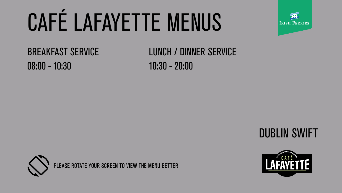



# CAFÉ LAFAYETTE MENUS





BREAKFAST SERVICE 08:00 - 10:30 10:30 - 20:00

## LUNCH / DINNER SERVICE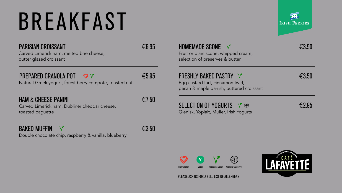Carved Limerick ham, melted brie cheese, butter glazed croissant

#### PREPARED GRANOLA POT  $\heartsuit \lor \epsilon$  65.95

Natural Greek yogurt, forest berry compote, toasted oats

#### HAM & CHEESE PANINI  $\epsilon$ 7.50

Carved Limerick ham, Dubliner cheddar cheese, toasted baguette



Double chocolate chip, raspberry & vanilla, blueberry





#### HOMEMADE SCONE  $\forall$

化杀上 V Healthy Option Vegan Vegetarian Option Available Gluten Free

Fruit or plain scone, whipped cream, selection of preserves & butter

#### FRESHLY BAKED PASTRY √ E3.50

Egg custard tart, cinnamon twirl, pecan & maple danish, buttered croissant

#### SELECTION OF YOGURTS  $\vee$   $\circledast$   $\qquad \qquad \in$  2.95

Glenisk, Yoplait, Muller, Irish Yogurts

### BREAKFAST

#### PARISIAN CROISSANT <del>€6.95</del>

PLEASE ASK US FOR A FULL LIST OF ALLERGENS

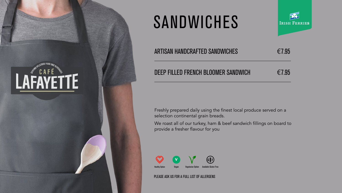Freshly prepared daily using the finest local produce served on a selection continental grain breads.

We roast all of our turkey, ham & beef sandwich fillings on board to provide a fresher flavour for you

### SANDWICHES



#### ARTISAN HANDCRAFTED SANDWICHES  $\epsilon$ 7.95

#### DEEP FILLED FRENCH BLOOMER SANDWICH  $\epsilon$ 7.95







PLEASE ASK US FOR A FULL LIST OF ALLERGENS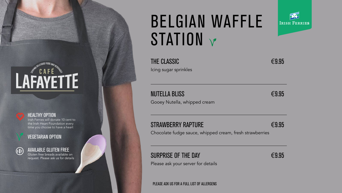



#### HEALTHY OPTION

Irish Ferries will donate 10 cent to the Irish Heart Foundation every time you choose to have a heart

Gluten free breads available on request. Please ask us for details

#### VEGETARIAN OPTION



### BELGIAN WAFFLE STATION V

#### AVAILABLE GLUTEN FREE

PLEASE ASK US FOR A FULL LIST OF ALLERGENS



Icing sugar sprinkles

 $NUTELLA$  BLISS  $\epsilon$ 9.95

Gooey Nutella, whipped cream

#### STRAWBERRY RAPTURE <del>€9.95</del>

Chocolate fudge sauce, whipped cream, fresh strawberries

#### SURPRISE OF THE DAY  $\epsilon$ 9.95

Please ask your server for details